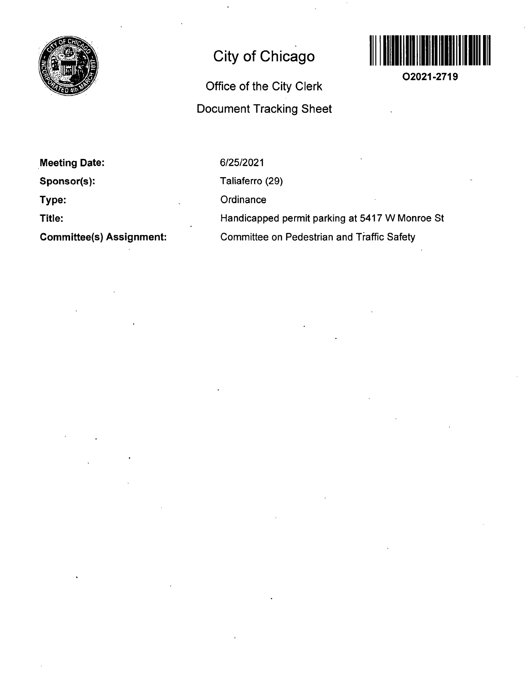

# **City of Chicago**

## **Office of the City Clerk Document Tracking Sheet**



**O2021-2719** 

**Meeting Date: Sponsor(s): Type: Title:** 

**Committee(s) Assignment:** 

6/25/2021

Taliaferro (29)

**Ordinance** 

Handicapped permit parking at 5417 W Monroe St Committee on Pedestrian and Traffic Safety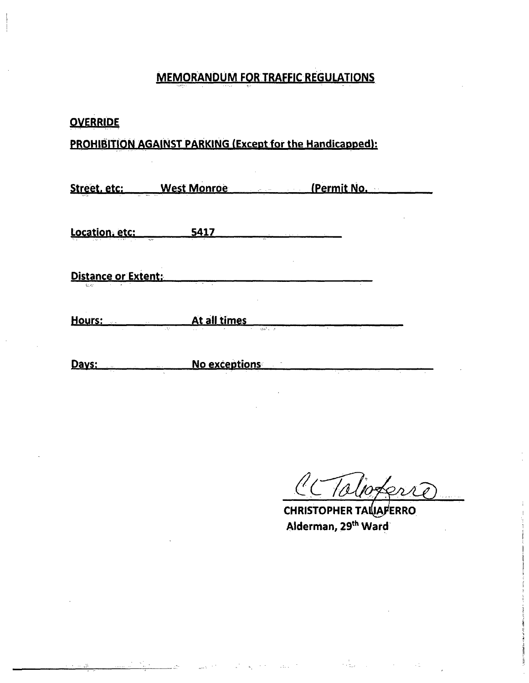## **MEMORANDUM FOR TRAFFIC REGULATIONS**

| <b>OVERRIDE</b>               |                                                                  |             |  |
|-------------------------------|------------------------------------------------------------------|-------------|--|
|                               | <b>PROHIBITION AGAINST PARKING (Except for the Handicapped):</b> |             |  |
|                               | Street. etc: West Monroe                                         | (Permit No. |  |
| Location, etc:                | 5417                                                             |             |  |
| Distance or Extent:<br>in the |                                                                  |             |  |
| Hours: Hours:                 | At all times<br>A.<br>sstelle in                                 |             |  |
| <u>Days:</u>                  | No exceptions                                                    |             |  |

i<br>Linda

**Contract** 

Toloferre  $\frac{\ell}{\ell}$ 

CHRISTOPHER TAILLAFERRO Alderman, 29<sup>th</sup> Ward

in Barbara

 $\Delta E_{\rm{max}}=2$